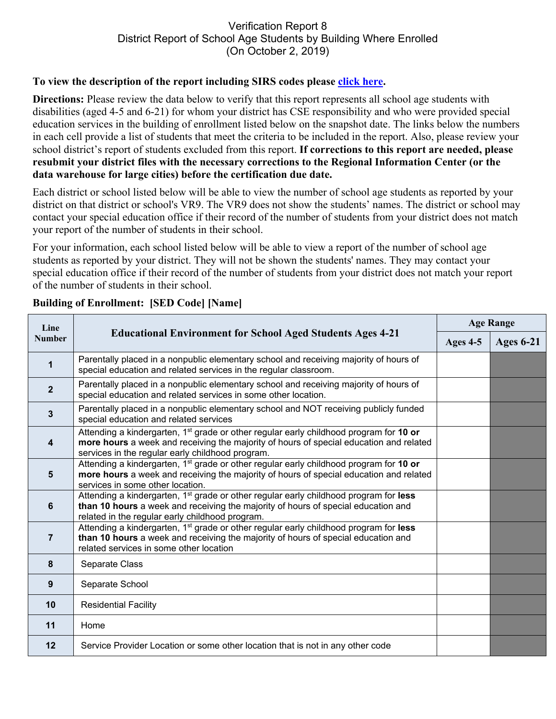## Verification Report 8 District Report of School Age Students by Building Where Enrolled (On October 2, 2019)

## **To view the description of the report including SIRS codes please click here.**

**Directions:** Please review the data below to verify that this report represents all school age students with disabilities (aged 4-5 and 6-21) for whom your district has CSE responsibility and who were provided special education services in the building of enrollment listed below on the snapshot date. The links below the numbers in each cell provide a list of students that meet the criteria to be included in the report. Also, please review your school district's report of students excluded from this report. **If corrections to this report are needed, please resubmit your district files with the necessary corrections to the Regional Information Center (or the data warehouse for large cities) before the certification due date.**

Each district or school listed below will be able to view the number of school age students as reported by your district on that district or school's VR9. The VR9 does not show the students' names. The district or school may contact your special education office if their record of the number of students from your district does not match your report of the number of students in their school.

For your information, each school listed below will be able to view a report of the number of school age students as reported by your district. They will not be shown the students' names. They may contact your special education office if their record of the number of students from your district does not match your report of the number of students in their school.

| Line<br><b>Number</b>   | <b>Educational Environment for School Aged Students Ages 4-21</b>                                                                                                                                                                                | <b>Age Range</b> |                  |
|-------------------------|--------------------------------------------------------------------------------------------------------------------------------------------------------------------------------------------------------------------------------------------------|------------------|------------------|
|                         |                                                                                                                                                                                                                                                  | Ages 4-5         | <b>Ages 6-21</b> |
| 1                       | Parentally placed in a nonpublic elementary school and receiving majority of hours of<br>special education and related services in the regular classroom.                                                                                        |                  |                  |
| $\overline{2}$          | Parentally placed in a nonpublic elementary school and receiving majority of hours of<br>special education and related services in some other location.                                                                                          |                  |                  |
| $\mathbf{3}$            | Parentally placed in a nonpublic elementary school and NOT receiving publicly funded<br>special education and related services                                                                                                                   |                  |                  |
| $\overline{\mathbf{4}}$ | Attending a kindergarten, 1 <sup>st</sup> grade or other regular early childhood program for 10 or<br>more hours a week and receiving the majority of hours of special education and related<br>services in the regular early childhood program. |                  |                  |
| 5                       | Attending a kindergarten, 1 <sup>st</sup> grade or other regular early childhood program for 10 or<br>more hours a week and receiving the majority of hours of special education and related<br>services in some other location.                 |                  |                  |
| $6\phantom{1}$          | Attending a kindergarten, 1 <sup>st</sup> grade or other regular early childhood program for less<br>than 10 hours a week and receiving the majority of hours of special education and<br>related in the regular early childhood program.        |                  |                  |
| $\overline{7}$          | Attending a kindergarten, 1 <sup>st</sup> grade or other regular early childhood program for less<br>than 10 hours a week and receiving the majority of hours of special education and<br>related services in some other location                |                  |                  |
| 8                       | Separate Class                                                                                                                                                                                                                                   |                  |                  |
| 9                       | Separate School                                                                                                                                                                                                                                  |                  |                  |
| 10                      | <b>Residential Facility</b>                                                                                                                                                                                                                      |                  |                  |
| 11                      | Home                                                                                                                                                                                                                                             |                  |                  |
| 12                      | Service Provider Location or some other location that is not in any other code                                                                                                                                                                   |                  |                  |

## **Building of Enrollment: [SED Code] [Name]**